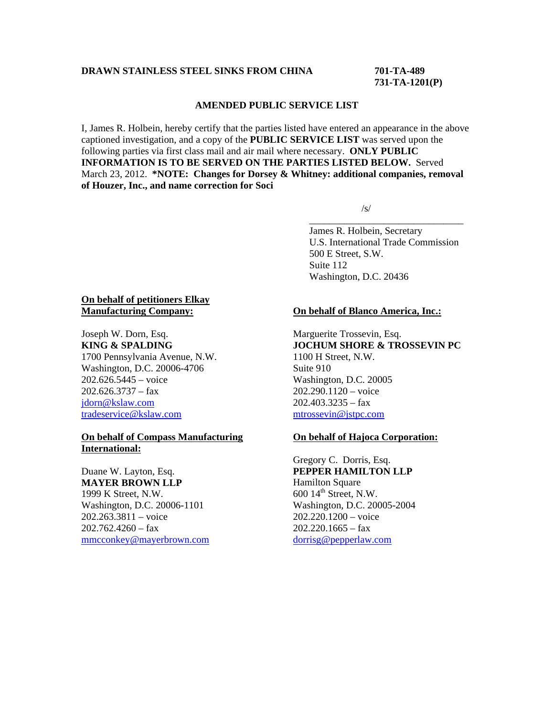# **DRAWN STAINLESS STEEL SINKS FROM CHINA 701-TA-489**

**731-TA-1201(P)** 

#### **AMENDED PUBLIC SERVICE LIST**

I, James R. Holbein, hereby certify that the parties listed have entered an appearance in the above captioned investigation, and a copy of the **PUBLIC SERVICE LIST** was served upon the following parties via first class mail and air mail where necessary. **ONLY PUBLIC INFORMATION IS TO BE SERVED ON THE PARTIES LISTED BELOW.** Served March 23, 2012. **\*NOTE: Changes for Dorsey & Whitney: additional companies, removal of Houzer, Inc., and name correction for Soci** 

 $\overline{\phantom{a}}$  , and the contract of the contract of the contract of the contract of the contract of the contract of the contract of the contract of the contract of the contract of the contract of the contract of the contrac

 $\sqrt{s}$ /s/

 James R. Holbein, Secretary U.S. International Trade Commission 500 E Street, S.W. Suite 112 Washington, D.C. 20436

## **On behalf of petitioners Elkay Manufacturing Company:**

Joseph W. Dorn, Esq. **KING & SPALDING** 1700 Pennsylvania Avenue, N.W. Washington, D.C. 20006-4706 202.626.5445 – voice  $202.626.3737 - fax$ jdorn@kslaw.com tradeservice@kslaw.com

### **On behalf of Compass Manufacturing International:**

Duane W. Layton, Esq. **MAYER BROWN LLP** 1999 K Street, N.W. Washington, D.C. 20006-1101 202.263.3811 – voice  $202.762.4260 - fax$ mmcconkey@mayerbrown.com

### **On behalf of Blanco America, Inc.:**

Marguerite Trossevin, Esq. **JOCHUM SHORE & TROSSEVIN PC** 1100 H Street, N.W. Suite 910 Washington, D.C. 20005 202.290.1120 – voice  $202.403.3235 - fax$ mtrossevin@jstpc.com

#### **On behalf of Hajoca Corporation:**

Gregory C. Dorris, Esq. **PEPPER HAMILTON LLP** Hamilton Square 600 14<sup>th</sup> Street, N.W. Washington, D.C. 20005-2004 202.220.1200 – voice  $202.220.1665 - fax$ dorrisg@pepperlaw.com